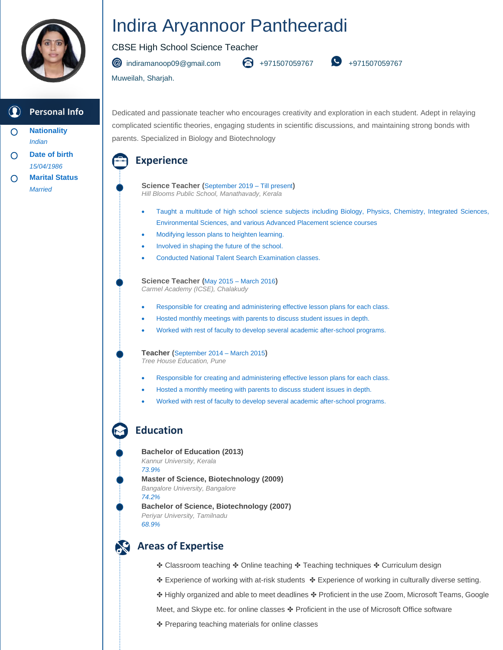

#### **Personal Info**

- **Nationality** O *Indian*
- **Date of birth** *15/04/1986*
- **Marital Status**  $\bigcap$ *Married*

# Indira Aryannoor Pantheeradi

#### CBSE High School Science Teacher

[indiramanoop09@gmail.com](mailto:vishalsasankanmannil@gmail.com) +971507059767 +971507059767

Muweilah, Sharjah.

Dedicated and passionate teacher who encourages creativity and exploration in each student. Adept in relaying complicated scientific theories, engaging students in scientific discussions, and maintaining strong bonds with parents. Specialized in Biology and Biotechnology

### **Experience**

 **Science Teacher (**September 2019 – Till present**)** *Hill Blooms Public School, Manathavady, Kerala*

- Taught a multitude of high school science subjects including Biology, Physics, Chemistry, Integrated Sciences, Environmental Sciences, and various Advanced Placement science courses
- Modifying lesson plans to heighten learning.
- Involved in shaping the future of the school.
- Conducted National Talent Search Examination classes.

 **Science Teacher (**May 2015 – March 2016**)** *Carmel Academy (ICSE), Chalakudy*

- Responsible for creating and administering effective lesson plans for each class.
- Hosted monthly meetings with parents to discuss student issues in depth.
- Worked with rest of faculty to develop several academic after-school programs.

**Teacher (**September 2014 – March 2015**)** *Tree House Education, Pune*

- Responsible for creating and administering effective lesson plans for each class.
- Hosted a monthly meeting with parents to discuss student issues in depth.
- Worked with rest of faculty to develop several academic after-school programs.

# **Education**

 **Bachelor of Education (2013)** *Kannur University, Kerala 73.9%* **Master of Science, Biotechnology (2009)** *Bangalore University, Bangalore 74.2%* **Bachelor of Science, Biotechnology (2007)** *Periyar University, Tamilnadu 68.9%*

# **Areas of Expertise**

- ❖ Classroom teaching ❖ Online teaching ❖ Teaching techniques ❖ Curriculum design
- ✤ Experience of working with at-risk students ✤ Experience of working in culturally diverse setting.
- ✤ Highly organized and able to meet deadlines ✤ Proficient in the use Zoom, Microsoft Teams, Google
- Meet, and Skype etc. for online classes ❖ Proficient in the use of Microsoft Office software
- ✤ Preparing teaching materials for online classes